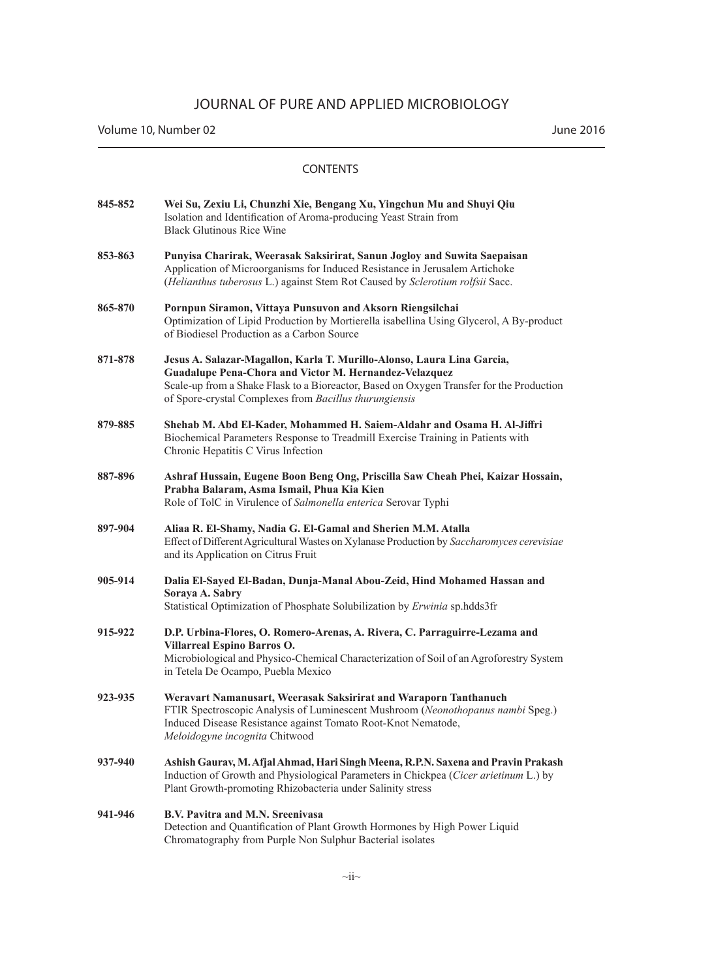| 845-852 | Wei Su, Zexiu Li, Chunzhi Xie, Bengang Xu, Yingchun Mu and Shuyi Qiu<br>Isolation and Identification of Aroma-producing Yeast Strain from<br><b>Black Glutinous Rice Wine</b>                                                                                                          |
|---------|----------------------------------------------------------------------------------------------------------------------------------------------------------------------------------------------------------------------------------------------------------------------------------------|
| 853-863 | Punyisa Charirak, Weerasak Saksirirat, Sanun Jogloy and Suwita Saepaisan<br>Application of Microorganisms for Induced Resistance in Jerusalem Artichoke<br>(Helianthus tuberosus L.) against Stem Rot Caused by Sclerotium rolfsii Sacc.                                               |
| 865-870 | Pornpun Siramon, Vittaya Punsuvon and Aksorn Riengsilchai<br>Optimization of Lipid Production by Mortierella isabellina Using Glycerol, A By-product<br>of Biodiesel Production as a Carbon Source                                                                                     |
| 871-878 | Jesus A. Salazar-Magallon, Karla T. Murillo-Alonso, Laura Lina Garcia,<br>Guadalupe Pena-Chora and Victor M. Hernandez-Velazquez<br>Scale-up from a Shake Flask to a Bioreactor, Based on Oxygen Transfer for the Production<br>of Spore-crystal Complexes from Bacillus thurungiensis |
| 879-885 | Shehab M. Abd El-Kader, Mohammed H. Saiem-Aldahr and Osama H. Al-Jiffri<br>Biochemical Parameters Response to Treadmill Exercise Training in Patients with<br>Chronic Hepatitis C Virus Infection                                                                                      |
| 887-896 | Ashraf Hussain, Eugene Boon Beng Ong, Priscilla Saw Cheah Phei, Kaizar Hossain,<br>Prabha Balaram, Asma Ismail, Phua Kia Kien<br>Role of TolC in Virulence of Salmonella enterica Serovar Typhi                                                                                        |
| 897-904 | Aliaa R. El-Shamy, Nadia G. El-Gamal and Sherien M.M. Atalla<br>Effect of Different Agricultural Wastes on Xylanase Production by Saccharomyces cerevisiae<br>and its Application on Citrus Fruit                                                                                      |
| 905-914 | Dalia El-Sayed El-Badan, Dunja-Manal Abou-Zeid, Hind Mohamed Hassan and<br>Soraya A. Sabry<br>Statistical Optimization of Phosphate Solubilization by Erwinia sp.hdds3fr                                                                                                               |
| 915-922 | D.P. Urbina-Flores, O. Romero-Arenas, A. Rivera, C. Parraguirre-Lezama and<br>Villarreal Espino Barros O.<br>Microbiological and Physico-Chemical Characterization of Soil of an Agroforestry System<br>in Tetela De Ocampo, Puebla Mexico                                             |
| 923-935 | Weravart Namanusart, Weerasak Saksirirat and Waraporn Tanthanuch<br>FTIR Spectroscopic Analysis of Luminescent Mushroom (Neonothopanus nambi Speg.)<br>Induced Disease Resistance against Tomato Root-Knot Nematode,<br>Meloidogyne incognita Chitwood                                 |
| 937-940 | Ashish Gaurav, M. Afjal Ahmad, Hari Singh Meena, R.P.N. Saxena and Pravin Prakash<br>Induction of Growth and Physiological Parameters in Chickpea (Cicer arietinum L.) by<br>Plant Growth-promoting Rhizobacteria under Salinity stress                                                |
| 941-946 | B.V. Pavitra and M.N. Sreenivasa<br>Detection and Quantification of Plant Growth Hormones by High Power Liquid<br>Chromatography from Purple Non Sulphur Bacterial isolates                                                                                                            |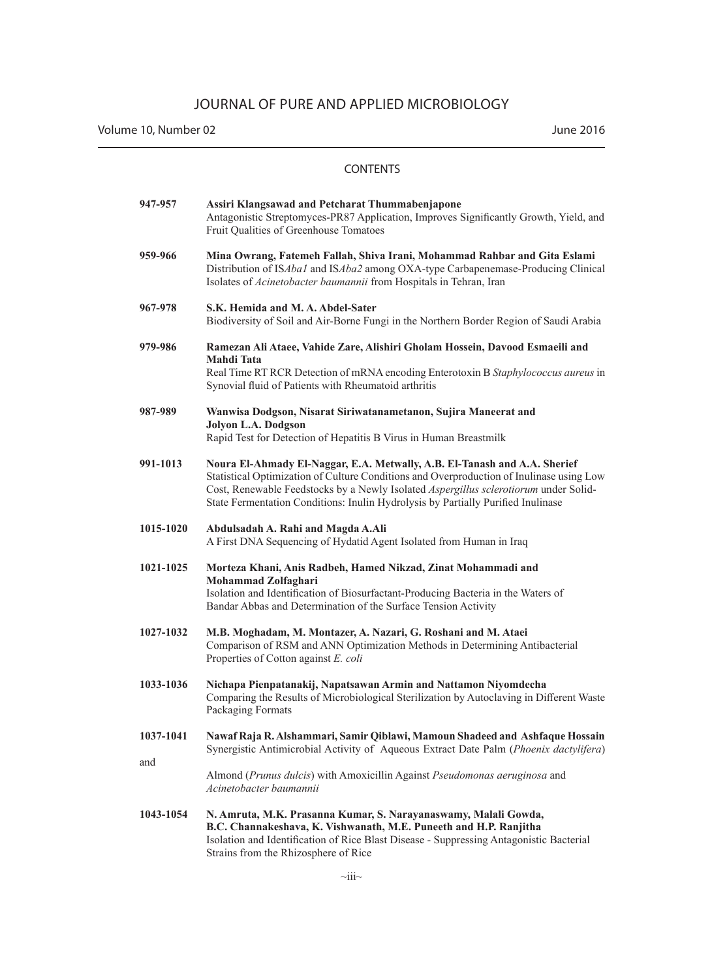Volume 10, Number 02 June 2016

| 947-957          | Assiri Klangsawad and Petcharat Thummabenjapone<br>Antagonistic Streptomyces-PR87 Application, Improves Significantly Growth, Yield, and<br>Fruit Qualities of Greenhouse Tomatoes                                                                                                                                                                |
|------------------|---------------------------------------------------------------------------------------------------------------------------------------------------------------------------------------------------------------------------------------------------------------------------------------------------------------------------------------------------|
| 959-966          | Mina Owrang, Fatemeh Fallah, Shiva Irani, Mohammad Rahbar and Gita Eslami<br>Distribution of ISAba1 and ISAba2 among OXA-type Carbapenemase-Producing Clinical<br>Isolates of Acinetobacter baumannii from Hospitals in Tehran, Iran                                                                                                              |
| 967-978          | S.K. Hemida and M.A. Abdel-Sater<br>Biodiversity of Soil and Air-Borne Fungi in the Northern Border Region of Saudi Arabia                                                                                                                                                                                                                        |
| 979-986          | Ramezan Ali Ataee, Vahide Zare, Alishiri Gholam Hossein, Davood Esmaeili and<br>Mahdi Tata<br>Real Time RT RCR Detection of mRNA encoding Enterotoxin B Staphylococcus aureus in<br>Synovial fluid of Patients with Rheumatoid arthritis                                                                                                          |
| 987-989          | Wanwisa Dodgson, Nisarat Siriwatanametanon, Sujira Maneerat and<br>Jolyon L.A. Dodgson<br>Rapid Test for Detection of Hepatitis B Virus in Human Breastmilk                                                                                                                                                                                       |
| 991-1013         | Noura El-Ahmady El-Naggar, E.A. Metwally, A.B. El-Tanash and A.A. Sherief<br>Statistical Optimization of Culture Conditions and Overproduction of Inulinase using Low<br>Cost, Renewable Feedstocks by a Newly Isolated Aspergillus sclerotiorum under Solid-<br>State Fermentation Conditions: Inulin Hydrolysis by Partially Purified Inulinase |
| 1015-1020        | Abdulsadah A. Rahi and Magda A.Ali<br>A First DNA Sequencing of Hydatid Agent Isolated from Human in Iraq                                                                                                                                                                                                                                         |
| 1021-1025        | Morteza Khani, Anis Radbeh, Hamed Nikzad, Zinat Mohammadi and<br>Mohammad Zolfaghari<br>Isolation and Identification of Biosurfactant-Producing Bacteria in the Waters of<br>Bandar Abbas and Determination of the Surface Tension Activity                                                                                                       |
| 1027-1032        | M.B. Moghadam, M. Montazer, A. Nazari, G. Roshani and M. Ataei<br>Comparison of RSM and ANN Optimization Methods in Determining Antibacterial<br>Properties of Cotton against E. coli                                                                                                                                                             |
| 1033-1036        | Nichapa Pienpatanakij, Napatsawan Armin and Nattamon Niyomdecha<br>Comparing the Results of Microbiological Sterilization by Autoclaving in Different Waste<br>Packaging Formats                                                                                                                                                                  |
| 1037-1041<br>and | Nawaf Raja R. Alshammari, Samir Qiblawi, Mamoun Shadeed and Ashfaque Hossain<br>Synergistic Antimicrobial Activity of Aqueous Extract Date Palm (Phoenix dactylifera)                                                                                                                                                                             |
|                  | Almond (Prunus dulcis) with Amoxicillin Against Pseudomonas aeruginosa and<br>Acinetobacter baumannii                                                                                                                                                                                                                                             |
| 1043-1054        | N. Amruta, M.K. Prasanna Kumar, S. Narayanaswamy, Malali Gowda,<br>B.C. Channakeshava, K. Vishwanath, M.E. Puneeth and H.P. Ranjitha<br>Isolation and Identification of Rice Blast Disease - Suppressing Antagonistic Bacterial<br>Strains from the Rhizosphere of Rice                                                                           |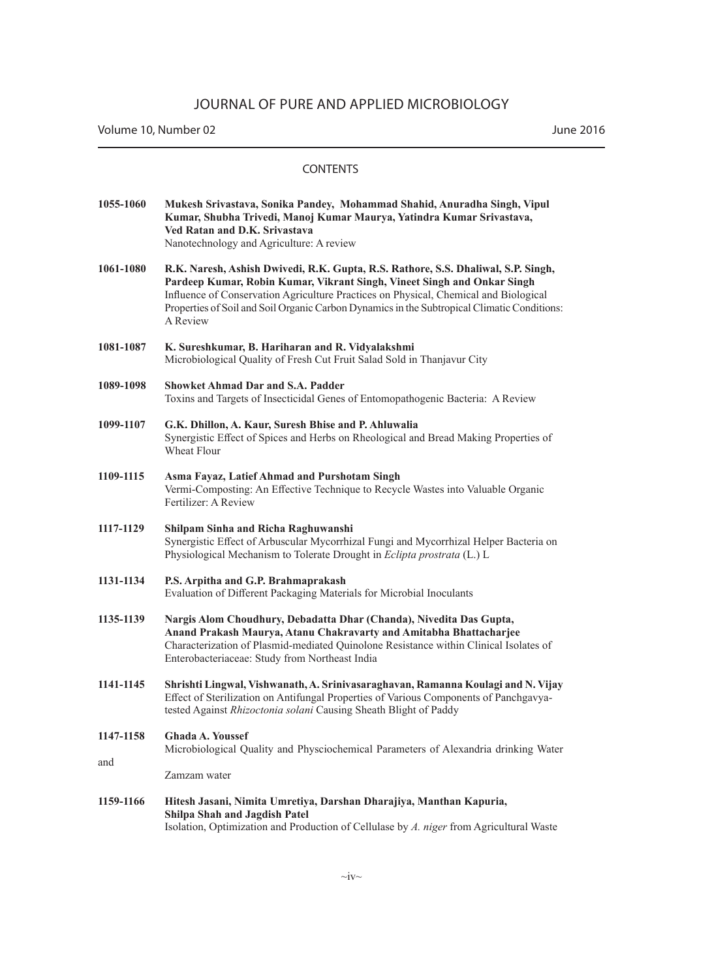### CONTENTS

| 1055-1060 | Mukesh Srivastava, Sonika Pandey, Mohammad Shahid, Anuradha Singh, Vipul<br>Kumar, Shubha Trivedi, Manoj Kumar Maurya, Yatindra Kumar Srivastava,<br>Ved Ratan and D.K. Srivastava<br>Nanotechnology and Agriculture: A review                                                                                                                                  |
|-----------|-----------------------------------------------------------------------------------------------------------------------------------------------------------------------------------------------------------------------------------------------------------------------------------------------------------------------------------------------------------------|
| 1061-1080 | R.K. Naresh, Ashish Dwivedi, R.K. Gupta, R.S. Rathore, S.S. Dhaliwal, S.P. Singh,<br>Pardeep Kumar, Robin Kumar, Vikrant Singh, Vineet Singh and Onkar Singh<br>Influence of Conservation Agriculture Practices on Physical, Chemical and Biological<br>Properties of Soil and Soil Organic Carbon Dynamics in the Subtropical Climatic Conditions:<br>A Review |
| 1081-1087 | K. Sureshkumar, B. Hariharan and R. Vidyalakshmi<br>Microbiological Quality of Fresh Cut Fruit Salad Sold in Thanjavur City                                                                                                                                                                                                                                     |
| 1089-1098 | <b>Showket Ahmad Dar and S.A. Padder</b><br>Toxins and Targets of Insecticidal Genes of Entomopathogenic Bacteria: A Review                                                                                                                                                                                                                                     |
| 1099-1107 | G.K. Dhillon, A. Kaur, Suresh Bhise and P. Ahluwalia<br>Synergistic Effect of Spices and Herbs on Rheological and Bread Making Properties of<br><b>Wheat Flour</b>                                                                                                                                                                                              |
| 1109-1115 | Asma Fayaz, Latief Ahmad and Purshotam Singh<br>Vermi-Composting: An Effective Technique to Recycle Wastes into Valuable Organic<br>Fertilizer: A Review                                                                                                                                                                                                        |
| 1117-1129 | Shilpam Sinha and Richa Raghuwanshi<br>Synergistic Effect of Arbuscular Mycorrhizal Fungi and Mycorrhizal Helper Bacteria on<br>Physiological Mechanism to Tolerate Drought in Eclipta prostrata (L.) L                                                                                                                                                         |
| 1131-1134 | P.S. Arpitha and G.P. Brahmaprakash<br>Evaluation of Different Packaging Materials for Microbial Inoculants                                                                                                                                                                                                                                                     |
| 1135-1139 | Nargis Alom Choudhury, Debadatta Dhar (Chanda), Nivedita Das Gupta,<br>Anand Prakash Maurya, Atanu Chakravarty and Amitabha Bhattacharjee<br>Characterization of Plasmid-mediated Quinolone Resistance within Clinical Isolates of<br>Enterobacteriaceae: Study from Northeast India                                                                            |
| 1141-1145 | Shrishti Lingwal, Vishwanath, A. Srinivasaraghavan, Ramanna Koulagi and N. Vijay<br>Effect of Sterilization on Antifungal Properties of Various Components of Panchgavya-<br>tested Against Rhizoctonia solani Causing Sheath Blight of Paddy                                                                                                                   |
| 1147-1158 | <b>Ghada A. Youssef</b><br>Microbiological Quality and Physciochemical Parameters of Alexandria drinking Water                                                                                                                                                                                                                                                  |
| and       | Zamzam water                                                                                                                                                                                                                                                                                                                                                    |
| 1159-1166 | Hitesh Jasani, Nimita Umretiya, Darshan Dharajiya, Manthan Kapuria,<br>Shilpa Shah and Jagdish Patel                                                                                                                                                                                                                                                            |

 $\sim$ iv $\sim$ 

Isolation, Optimization and Production of Cellulase by *A. niger* from Agricultural Waste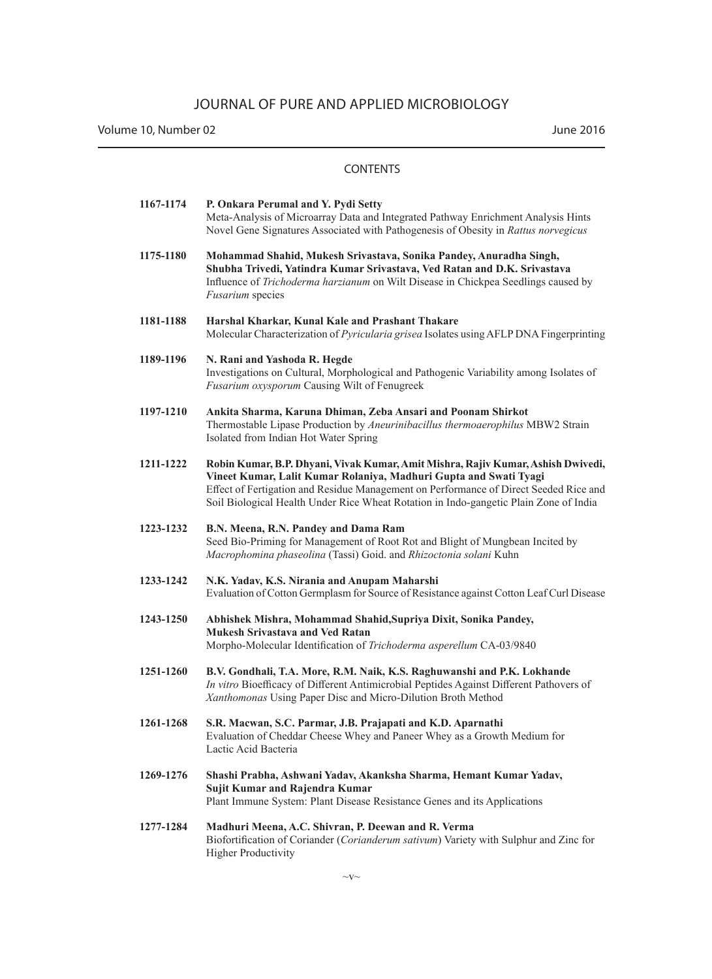Volume 10, Number 02 June 2016

| 1167-1174 | P. Onkara Perumal and Y. Pydi Setty<br>Meta-Analysis of Microarray Data and Integrated Pathway Enrichment Analysis Hints<br>Novel Gene Signatures Associated with Pathogenesis of Obesity in Rattus norvegicus                                                                                                                          |
|-----------|-----------------------------------------------------------------------------------------------------------------------------------------------------------------------------------------------------------------------------------------------------------------------------------------------------------------------------------------|
| 1175-1180 | Mohammad Shahid, Mukesh Srivastava, Sonika Pandey, Anuradha Singh,<br>Shubha Trivedi, Yatindra Kumar Srivastava, Ved Ratan and D.K. Srivastava<br>Influence of Trichoderma harzianum on Wilt Disease in Chickpea Seedlings caused by<br><b>Fusarium</b> species                                                                         |
| 1181-1188 | Harshal Kharkar, Kunal Kale and Prashant Thakare<br>Molecular Characterization of <i>Pyricularia grisea</i> Isolates using AFLP DNA Fingerprinting                                                                                                                                                                                      |
| 1189-1196 | N. Rani and Yashoda R. Hegde<br>Investigations on Cultural, Morphological and Pathogenic Variability among Isolates of<br>Fusarium oxysporum Causing Wilt of Fenugreek                                                                                                                                                                  |
| 1197-1210 | Ankita Sharma, Karuna Dhiman, Zeba Ansari and Poonam Shirkot<br>Thermostable Lipase Production by Aneurinibacillus thermoaerophilus MBW2 Strain<br>Isolated from Indian Hot Water Spring                                                                                                                                                |
| 1211-1222 | Robin Kumar, B.P. Dhyani, Vivak Kumar, Amit Mishra, Rajiv Kumar, Ashish Dwivedi,<br>Vineet Kumar, Lalit Kumar Rolaniya, Madhuri Gupta and Swati Tyagi<br>Effect of Fertigation and Residue Management on Performance of Direct Seeded Rice and<br>Soil Biological Health Under Rice Wheat Rotation in Indo-gangetic Plain Zone of India |
| 1223-1232 | B.N. Meena, R.N. Pandey and Dama Ram<br>Seed Bio-Priming for Management of Root Rot and Blight of Mungbean Incited by<br>Macrophomina phaseolina (Tassi) Goid. and Rhizoctonia solani Kuhn                                                                                                                                              |
| 1233-1242 | N.K. Yadav, K.S. Nirania and Anupam Maharshi<br>Evaluation of Cotton Germplasm for Source of Resistance against Cotton Leaf Curl Disease                                                                                                                                                                                                |
| 1243-1250 | Abhishek Mishra, Mohammad Shahid, Supriya Dixit, Sonika Pandey,<br><b>Mukesh Srivastava and Ved Ratan</b><br>Morpho-Molecular Identification of Trichoderma asperellum CA-03/9840                                                                                                                                                       |
| 1251-1260 | B.V. Gondhali, T.A. More, R.M. Naik, K.S. Raghuwanshi and P.K. Lokhande<br>In vitro Bioefficacy of Different Antimicrobial Peptides Against Different Pathovers of<br>Xanthomonas Using Paper Disc and Micro-Dilution Broth Method                                                                                                      |
| 1261-1268 | S.R. Macwan, S.C. Parmar, J.B. Prajapati and K.D. Aparnathi<br>Evaluation of Cheddar Cheese Whey and Paneer Whey as a Growth Medium for<br>Lactic Acid Bacteria                                                                                                                                                                         |
| 1269-1276 | Shashi Prabha, Ashwani Yadav, Akanksha Sharma, Hemant Kumar Yadav,<br>Sujit Kumar and Rajendra Kumar<br>Plant Immune System: Plant Disease Resistance Genes and its Applications                                                                                                                                                        |
| 1277-1284 | Madhuri Meena, A.C. Shivran, P. Deewan and R. Verma<br>Biofortification of Coriander (Corianderum sativum) Variety with Sulphur and Zinc for<br><b>Higher Productivity</b>                                                                                                                                                              |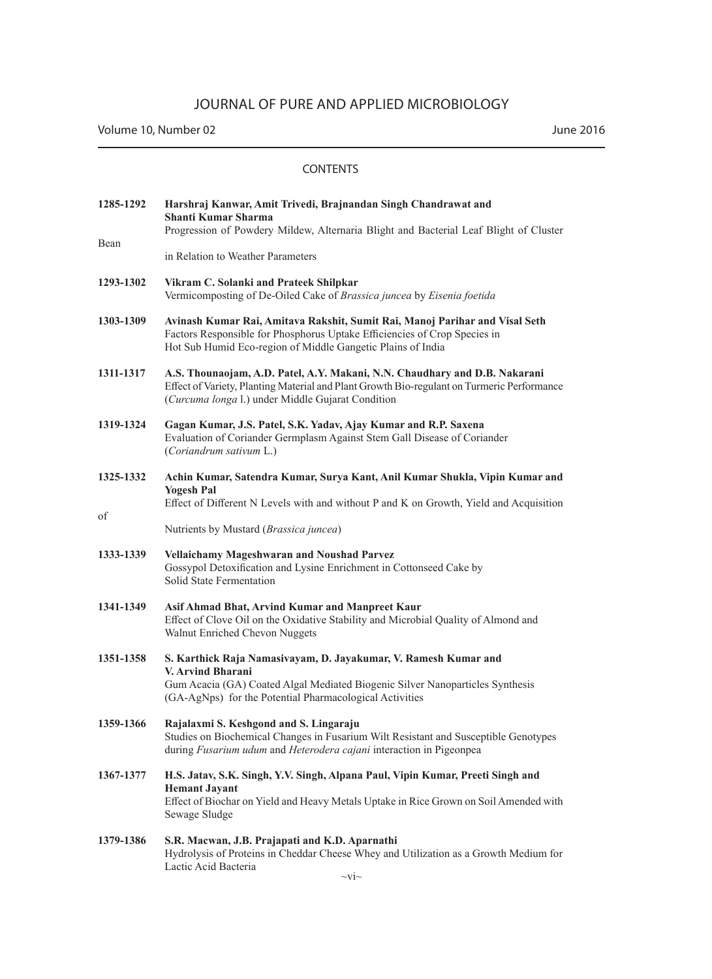Volume 10, Number 02 June 2016

| 1285-1292 | Harshraj Kanwar, Amit Trivedi, Brajnandan Singh Chandrawat and<br>Shanti Kumar Sharma<br>Progression of Powdery Mildew, Alternaria Blight and Bacterial Leaf Blight of Cluster                                                |
|-----------|-------------------------------------------------------------------------------------------------------------------------------------------------------------------------------------------------------------------------------|
| Bean      | in Relation to Weather Parameters                                                                                                                                                                                             |
| 1293-1302 | Vikram C. Solanki and Prateek Shilpkar<br>Vermicomposting of De-Oiled Cake of Brassica juncea by Eisenia foetida                                                                                                              |
| 1303-1309 | Avinash Kumar Rai, Amitava Rakshit, Sumit Rai, Manoj Parihar and Visal Seth<br>Factors Responsible for Phosphorus Uptake Efficiencies of Crop Species in<br>Hot Sub Humid Eco-region of Middle Gangetic Plains of India       |
| 1311-1317 | A.S. Thounaojam, A.D. Patel, A.Y. Makani, N.N. Chaudhary and D.B. Nakarani<br>Effect of Variety, Planting Material and Plant Growth Bio-regulant on Turmeric Performance<br>(Curcuma longa l.) under Middle Gujarat Condition |
| 1319-1324 | Gagan Kumar, J.S. Patel, S.K. Yadav, Ajay Kumar and R.P. Saxena<br>Evaluation of Coriander Germplasm Against Stem Gall Disease of Coriander<br>(Coriandrum sativum L.)                                                        |
| 1325-1332 | Achin Kumar, Satendra Kumar, Surya Kant, Anil Kumar Shukla, Vipin Kumar and<br><b>Yogesh Pal</b><br>Effect of Different N Levels with and without P and K on Growth, Yield and Acquisition                                    |
| οf        | Nutrients by Mustard (Brassica juncea)                                                                                                                                                                                        |
| 1333-1339 | Vellaichamy Mageshwaran and Noushad Parvez<br>Gossypol Detoxification and Lysine Enrichment in Cottonseed Cake by<br>Solid State Fermentation                                                                                 |
| 1341-1349 | Asif Ahmad Bhat, Arvind Kumar and Manpreet Kaur<br>Effect of Clove Oil on the Oxidative Stability and Microbial Quality of Almond and<br>Walnut Enriched Chevon Nuggets                                                       |
| 1351-1358 | S. Karthick Raja Namasivayam, D. Jayakumar, V. Ramesh Kumar and<br><b>V. Arvind Bharani</b>                                                                                                                                   |
|           | Gum Acacia (GA) Coated Algal Mediated Biogenic Silver Nanoparticles Synthesis<br>(GA-AgNps) for the Potential Pharmacological Activities                                                                                      |
| 1359-1366 | Rajalaxmi S. Keshgond and S. Lingaraju<br>Studies on Biochemical Changes in Fusarium Wilt Resistant and Susceptible Genotypes<br>during Fusarium udum and Heterodera cajani interaction in Pigeonpea                          |
| 1367-1377 | H.S. Jatav, S.K. Singh, Y.V. Singh, Alpana Paul, Vipin Kumar, Preeti Singh and                                                                                                                                                |
|           | <b>Hemant Jayant</b><br>Effect of Biochar on Yield and Heavy Metals Uptake in Rice Grown on Soil Amended with<br>Sewage Sludge                                                                                                |
| 1379-1386 | S.R. Macwan, J.B. Prajapati and K.D. Aparnathi<br>Hydrolysis of Proteins in Cheddar Cheese Whey and Utilization as a Growth Medium for<br>Lactic Acid Bacteria                                                                |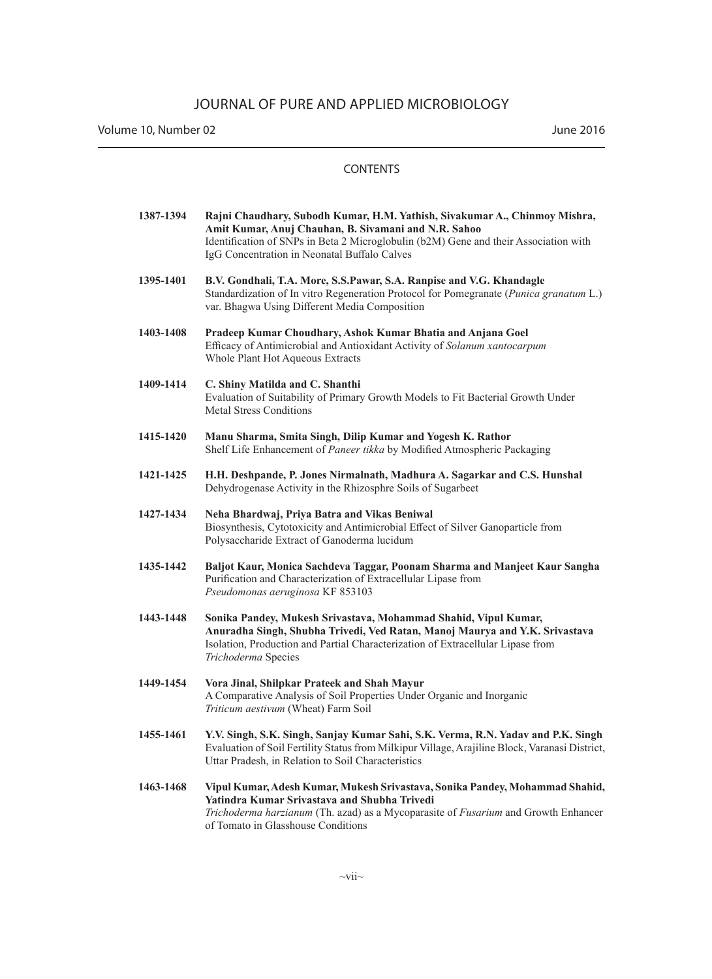Volume 10, Number 02 June 2016

| 1387-1394 | Rajni Chaudhary, Subodh Kumar, H.M. Yathish, Sivakumar A., Chinmoy Mishra,<br>Amit Kumar, Anuj Chauhan, B. Sivamani and N.R. Sahoo<br>Identification of SNPs in Beta 2 Microglobulin (b2M) Gene and their Association with<br>IgG Concentration in Neonatal Buffalo Calves |
|-----------|----------------------------------------------------------------------------------------------------------------------------------------------------------------------------------------------------------------------------------------------------------------------------|
| 1395-1401 | B.V. Gondhali, T.A. More, S.S.Pawar, S.A. Ranpise and V.G. Khandagle<br>Standardization of In vitro Regeneration Protocol for Pomegranate (Punica granatum L.)<br>var. Bhagwa Using Different Media Composition                                                            |
| 1403-1408 | Pradeep Kumar Choudhary, Ashok Kumar Bhatia and Anjana Goel<br>Efficacy of Antimicrobial and Antioxidant Activity of Solanum xantocarpum<br>Whole Plant Hot Aqueous Extracts                                                                                               |
| 1409-1414 | C. Shiny Matilda and C. Shanthi<br>Evaluation of Suitability of Primary Growth Models to Fit Bacterial Growth Under<br><b>Metal Stress Conditions</b>                                                                                                                      |
| 1415-1420 | Manu Sharma, Smita Singh, Dilip Kumar and Yogesh K. Rathor<br>Shelf Life Enhancement of Paneer tikka by Modified Atmospheric Packaging                                                                                                                                     |
| 1421-1425 | H.H. Deshpande, P. Jones Nirmalnath, Madhura A. Sagarkar and C.S. Hunshal<br>Dehydrogenase Activity in the Rhizosphre Soils of Sugarbeet                                                                                                                                   |
| 1427-1434 | Neha Bhardwaj, Priya Batra and Vikas Beniwal<br>Biosynthesis, Cytotoxicity and Antimicrobial Effect of Silver Ganoparticle from<br>Polysaccharide Extract of Ganoderma lucidum                                                                                             |
| 1435-1442 | Baljot Kaur, Monica Sachdeva Taggar, Poonam Sharma and Manjeet Kaur Sangha<br>Purification and Characterization of Extracellular Lipase from<br>Pseudomonas aeruginosa KF 853103                                                                                           |
| 1443-1448 | Sonika Pandey, Mukesh Srivastava, Mohammad Shahid, Vipul Kumar,<br>Anuradha Singh, Shubha Trivedi, Ved Ratan, Manoj Maurya and Y.K. Srivastava<br>Isolation, Production and Partial Characterization of Extracellular Lipase from<br>Trichoderma Species                   |
| 1449-1454 | Vora Jinal, Shilpkar Prateek and Shah Mayur<br>A Comparative Analysis of Soil Properties Under Organic and Inorganic<br>Triticum aestivum (Wheat) Farm Soil                                                                                                                |
| 1455-1461 | Y.V. Singh, S.K. Singh, Sanjay Kumar Sahi, S.K. Verma, R.N. Yadav and P.K. Singh<br>Evaluation of Soil Fertility Status from Milkipur Village, Arajiline Block, Varanasi District,<br>Uttar Pradesh, in Relation to Soil Characteristics                                   |
| 1463-1468 | Vipul Kumar, Adesh Kumar, Mukesh Srivastava, Sonika Pandey, Mohammad Shahid,<br>Yatindra Kumar Srivastava and Shubha Trivedi<br>Trichoderma harzianum (Th. azad) as a Mycoparasite of Fusarium and Growth Enhancer<br>of Tomato in Glasshouse Conditions                   |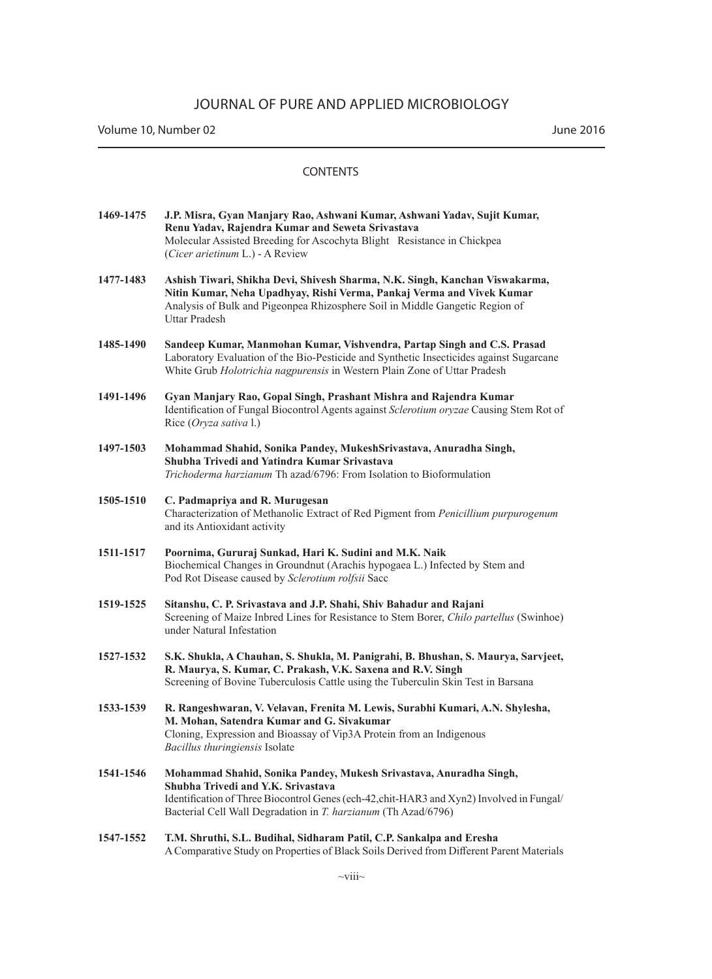| 1469-1475 | J.P. Misra, Gyan Manjary Rao, Ashwani Kumar, Ashwani Yaday, Sujit Kumar,<br>Renu Yaday, Rajendra Kumar and Seweta Srivastava |  |
|-----------|------------------------------------------------------------------------------------------------------------------------------|--|
|           | Molecular Assisted Breeding for Ascochyta Blight Resistance in Chickpea<br>( <i>Cicer arietinum L.</i> ) - A Review          |  |

- **1477-1483 Ashish Tiwari, Shikha Devi, Shivesh Sharma, N.K. Singh, Kanchan Viswakarma, Nitin Kumar, Neha Upadhyay, Rishi Verma, Pankaj Verma and Vivek Kumar** Analysis of Bulk and Pigeonpea Rhizosphere Soil in Middle Gangetic Region of Uttar Pradesh
- **1485-1490 Sandeep Kumar, Manmohan Kumar, Vishvendra, Partap Singh and C.S. Prasad** Laboratory Evaluation of the Bio-Pesticide and Synthetic Insecticides against Sugarcane White Grub *Holotrichia nagpurensis* in Western Plain Zone of Uttar Pradesh
- **1491-1496 Gyan Manjary Rao, Gopal Singh, Prashant Mishra and Rajendra Kumar** Identification of Fungal Biocontrol Agents against *Sclerotium oryzae* Causing Stem Rot of Rice (*Oryza sativa* l.)
- **1497-1503 Mohammad Shahid, Sonika Pandey, MukeshSrivastava, Anuradha Singh, Shubha Trivedi and Yatindra Kumar Srivastava** *Trichoderma harzianum* Th azad/6796: From Isolation to Bioformulation
- **1505-1510 C. Padmapriya and R. Murugesan** Characterization of Methanolic Extract of Red Pigment from *Penicillium purpurogenum*  and its Antioxidant activity
- **1511-1517 Poornima, Gururaj Sunkad, Hari K. Sudini and M.K. Naik** Biochemical Changes in Groundnut (Arachis hypogaea L.) Infected by Stem and Pod Rot Disease caused by *Sclerotium rolfsii* Sacc
- **1519-1525 Sitanshu, C. P. Srivastava and J.P. Shahi, Shiv Bahadur and Rajani** Screening of Maize Inbred Lines for Resistance to Stem Borer, *Chilo partellus* (Swinhoe) under Natural Infestation
- **1527-1532 S.K. Shukla, A Chauhan, S. Shukla, M. Panigrahi, B. Bhushan, S. Maurya, Sarvjeet, R. Maurya, S. Kumar, C. Prakash, V.K. Saxena and R.V. Singh** Screening of Bovine Tuberculosis Cattle using the Tuberculin Skin Test in Barsana
- **1533-1539 R. Rangeshwaran, V. Velavan, Frenita M. Lewis, Surabhi Kumari, A.N. Shylesha, M. Mohan, Satendra Kumar and G. Sivakumar** Cloning, Expression and Bioassay of Vip3A Protein from an Indigenous *Bacillus thuringiensis* Isolate
- **1541-1546 Mohammad Shahid, Sonika Pandey, Mukesh Srivastava, Anuradha Singh, Shubha Trivedi and Y.K. Srivastava**  Identification of Three Biocontrol Genes (ech-42,chit-HAR3 and Xyn2) Involved in Fungal/ Bacterial Cell Wall Degradation in *T. harzianum* (Th Azad/6796)
- **1547-1552 T.M. Shruthi, S.L. Budihal, Sidharam Patil, C.P. Sankalpa and Eresha** A Comparative Study on Properties of Black Soils Derived from Different Parent Materials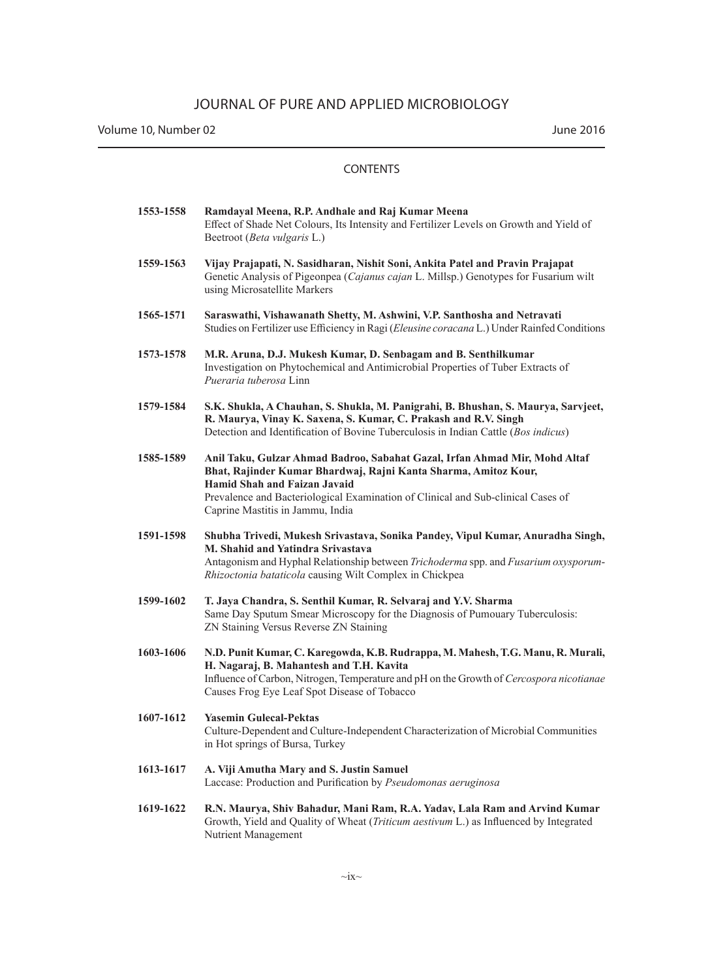Volume 10, Number 02 June 2016

| 1553-1558 | Ramdayal Meena, R.P. Andhale and Raj Kumar Meena<br>Effect of Shade Net Colours, Its Intensity and Fertilizer Levels on Growth and Yield of<br>Beetroot (Beta vulgaris L.)                                                                                                                            |
|-----------|-------------------------------------------------------------------------------------------------------------------------------------------------------------------------------------------------------------------------------------------------------------------------------------------------------|
| 1559-1563 | Vijay Prajapati, N. Sasidharan, Nishit Soni, Ankita Patel and Pravin Prajapat<br>Genetic Analysis of Pigeonpea (Cajanus cajan L. Millsp.) Genotypes for Fusarium wilt<br>using Microsatellite Markers                                                                                                 |
| 1565-1571 | Saraswathi, Vishawanath Shetty, M. Ashwini, V.P. Santhosha and Netravati<br>Studies on Fertilizer use Efficiency in Ragi (Eleusine coracana L.) Under Rainfed Conditions                                                                                                                              |
| 1573-1578 | M.R. Aruna, D.J. Mukesh Kumar, D. Senbagam and B. Senthilkumar<br>Investigation on Phytochemical and Antimicrobial Properties of Tuber Extracts of<br>Pueraria tuberosa Linn                                                                                                                          |
| 1579-1584 | S.K. Shukla, A Chauhan, S. Shukla, M. Panigrahi, B. Bhushan, S. Maurya, Sarvjeet,<br>R. Maurya, Vinay K. Saxena, S. Kumar, C. Prakash and R.V. Singh<br>Detection and Identification of Bovine Tuberculosis in Indian Cattle (Bos indicus)                                                            |
| 1585-1589 | Anil Taku, Gulzar Ahmad Badroo, Sabahat Gazal, Irfan Ahmad Mir, Mohd Altaf<br>Bhat, Rajinder Kumar Bhardwaj, Rajni Kanta Sharma, Amitoz Kour,<br>Hamid Shah and Faizan Javaid<br>Prevalence and Bacteriological Examination of Clinical and Sub-clinical Cases of<br>Caprine Mastitis in Jammu, India |
|           |                                                                                                                                                                                                                                                                                                       |
| 1591-1598 | Shubha Trivedi, Mukesh Srivastava, Sonika Pandey, Vipul Kumar, Anuradha Singh,<br>M. Shahid and Yatindra Srivastava<br>Antagonism and Hyphal Relationship between Trichoderma spp. and Fusarium oxysporum-<br>Rhizoctonia bataticola causing Wilt Complex in Chickpea                                 |
| 1599-1602 | T. Jaya Chandra, S. Senthil Kumar, R. Selvaraj and Y.V. Sharma<br>Same Day Sputum Smear Microscopy for the Diagnosis of Pumouary Tuberculosis:<br>ZN Staining Versus Reverse ZN Staining                                                                                                              |
| 1603-1606 | N.D. Punit Kumar, C. Karegowda, K.B. Rudrappa, M. Mahesh, T.G. Manu, R. Murali,<br>H. Nagaraj, B. Mahantesh and T.H. Kavita<br>Influence of Carbon, Nitrogen, Temperature and pH on the Growth of Cercospora nicotianae<br>Causes Frog Eye Leaf Spot Disease of Tobacco                               |
| 1607-1612 | <b>Yasemin Gulecal-Pektas</b><br>Culture-Dependent and Culture-Independent Characterization of Microbial Communities<br>in Hot springs of Bursa, Turkey                                                                                                                                               |
| 1613-1617 | A. Viji Amutha Mary and S. Justin Samuel<br>Laccase: Production and Purification by Pseudomonas aeruginosa                                                                                                                                                                                            |